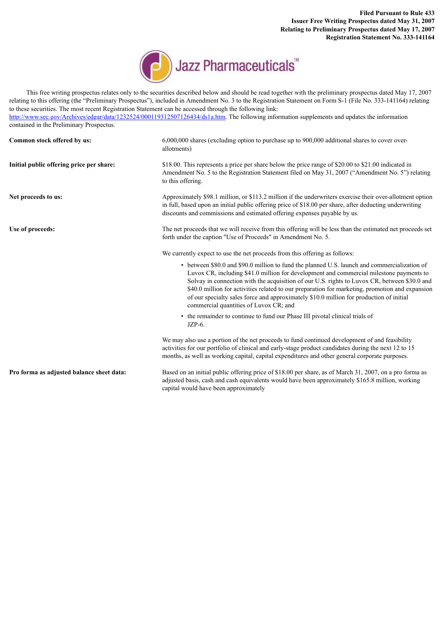**Filed Pursuant to Rule 433 Issuer Free Writing Prospectus dated May 31, 2007 Relating to Preliminary Prospectus dated May 17, 2007 Registration Statement No. 333-141164**



This free writing prospectus relates only to the securities described below and should be read together with the preliminary prospectus dated May 17, 2007

relating to this offering (the "Preliminary Prospectus"), included in Amendment No. 3 to the Registration Statement on Form S-1 (File No. 333-141164) relating to these securities. The most recent Registration Statement can be accessed through the following link: <http://www.sec.gov/Archives/edgar/data/1232524/000119312507126434/ds1a.htm>. The following information supplements and updates the information contained in the Preliminary Prospectus. **Common stock offered by us:** 6,000,000 shares (excluding option to purchase up to 900,000 additional shares to cover overallotments) **Initial public offering price per share:** \$18.00. This represents a price per share below the price range of \$20.00 to \$21.00 indicated in Amendment No. 5 to the Registration Statement filed on May 31, 2007 ("Amendment No. 5") relating to this offering. **Net proceeds to us:** Approximately \$98.1 million, or \$113.2 million if the underwriters exercise their over-allotment option in full, based upon an initial public offering price of \$18.00 per share, after deducting underwriting discounts and commissions and estimated offering expenses payable by us. Use of proceeds:<br>
The net proceeds that we will receive from this offering will be less than the estimated net proceeds set forth under the caption "Use of Proceeds" in Amendment No. 5. We currently expect to use the net proceeds from this offering as follows: • between \$80.0 and \$90.0 million to fund the planned U.S. launch and commercialization of Luvox CR, including \$41.0 million for development and commercial milestone payments to Solvay in connection with the acquisition of our U.S. rights to Luvox CR, between \$30.0 and \$40.0 million for activities related to our preparation for marketing, promotion and expansion of our specialty sales force and approximately \$10.0 million for production of initial commercial quantities of Luvox CR; and • the remainder to continue to fund our Phase III pivotal clinical trials of JZP-6. We may also use a portion of the net proceeds to fund continued development of and feasibility activities for our portfolio of clinical and early-stage product candidates during the next 12 to 15 months, as well as working capital, capital expenditures and other general corporate purposes. **Pro forma as adjusted balance sheet data:** Based on an initial public offering price of \$18.00 per share, as of March 31, 2007, on a pro forma as adjusted basis, cash and cash equivalents would have been approximately \$165.8 million, working capital would have been approximately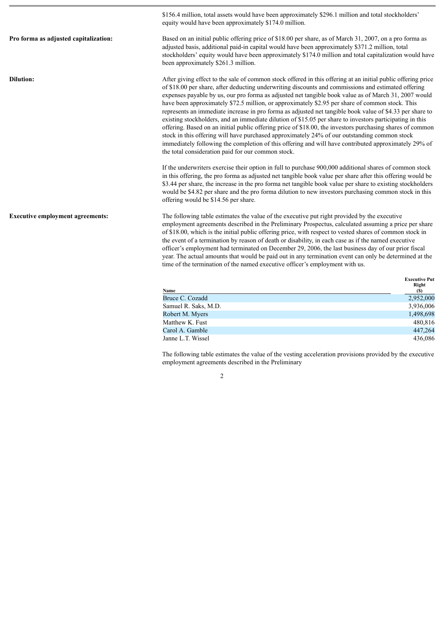\$156.4 million, total assets would have been approximately \$296.1 million and total stockholders'

equity would have been approximately \$174.0 million.

**Pro forma as adjusted capitalization:** Based on an initial public offering price of \$18.00 per share, as of March 31, 2007, on a pro forma as adjusted basis, additional paid-in capital would have been approximately \$371.2 million, total stockholders' equity would have been approximately \$174.0 million and total capitalization would have been approximately \$261.3 million.

**Dilution:** After giving effect to the sale of common stock offered in this offering at an initial public offering price of \$18.00 per share, after deducting underwriting discounts and commissions and estimated offering expenses payable by us, our pro forma as adjusted net tangible book value as of March 31, 2007 would have been approximately \$72.5 million, or approximately \$2.95 per share of common stock. This represents an immediate increase in pro forma as adjusted net tangible book value of \$4.33 per share to existing stockholders, and an immediate dilution of \$15.05 per share to investors participating in this offering. Based on an initial public offering price of \$18.00, the investors purchasing shares of common stock in this offering will have purchased approximately 24% of our outstanding common stock immediately following the completion of this offering and will have contributed approximately 29% of the total consideration paid for our common stock.

> If the underwriters exercise their option in full to purchase 900,000 additional shares of common stock in this offering, the pro forma as adjusted net tangible book value per share after this offering would be \$3.44 per share, the increase in the pro forma net tangible book value per share to existing stockholders would be \$4.82 per share and the pro forma dilution to new investors purchasing common stock in this offering would be \$14.56 per share.

**Executive employment agreements:** The following table estimates the value of the executive put right provided by the executive employment agreements described in the Preliminary Prospectus, calculated assuming a price per share of \$18.00, which is the initial public offering price, with respect to vested shares of common stock in the event of a termination by reason of death or disability, in each case as if the named executive officer's employment had terminated on December 29, 2006, the last business day of our prior fiscal year. The actual amounts that would be paid out in any termination event can only be determined at the time of the termination of the named executive officer's employment with us.

| Name                 | <b>Executive Put</b><br>Right<br>(S) |
|----------------------|--------------------------------------|
| Bruce C. Cozadd      | 2,952,000                            |
| Samuel R. Saks, M.D. | 3,936,006                            |
| Robert M. Myers      | 1,498,698                            |
| Matthew K. Fust      | 480,816                              |
| Carol A. Gamble      | 447,264                              |
| Janne L.T. Wissel    | 436,086                              |

The following table estimates the value of the vesting acceleration provisions provided by the executive employment agreements described in the Preliminary

 $\mathfrak{D}$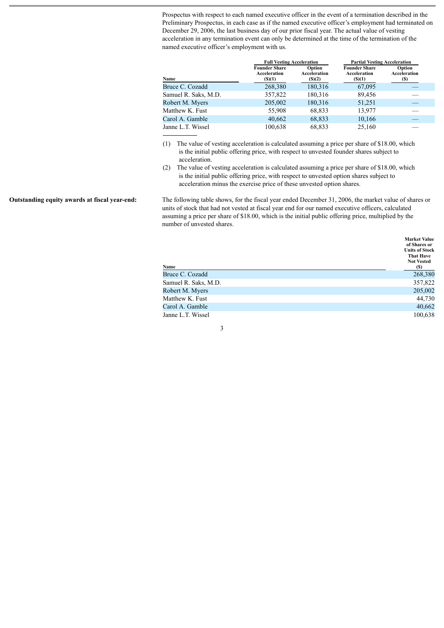Prospectus with respect to each named executive officer in the event of a termination described in the Preliminary Prospectus, in each case as if the named executive officer's employment had terminated on December 29, 2006, the last business day of our prior fiscal year. The actual value of vesting acceleration in any termination event can only be determined at the time of the termination of the named executive officer's employment with us.

|                      | <b>Full Vesting Acceleration</b>                    |                                  | <b>Partial Vesting Acceleration</b>                 |                                |
|----------------------|-----------------------------------------------------|----------------------------------|-----------------------------------------------------|--------------------------------|
| Name                 | <b>Founder Share</b><br>Acceleration<br>$($ (\$)(1) | Option<br>Acceleration<br>(S)(2) | <b>Founder Share</b><br>Acceleration<br>$($ (\$)(1) | Option<br>Acceleration<br>(\$) |
| Bruce C. Cozadd      | 268,380                                             | 180,316                          | 67,095                                              |                                |
| Samuel R. Saks, M.D. | 357,822                                             | 180,316                          | 89,456                                              |                                |
| Robert M. Myers      | 205,002                                             | 180,316                          | 51,251                                              |                                |
| Matthew K. Fust      | 55,908                                              | 68,833                           | 13,977                                              |                                |
| Carol A. Gamble      | 40,662                                              | 68,833                           | 10,166                                              |                                |
| Janne L.T. Wissel    | 100,638                                             | 68,833                           | 25,160                                              |                                |

- (1) The value of vesting acceleration is calculated assuming a price per share of \$18.00, which is the initial public offering price, with respect to unvested founder shares subject to acceleration.
- (2) The value of vesting acceleration is calculated assuming a price per share of \$18.00, which is the initial public offering price, with respect to unvested option shares subject to acceleration minus the exercise price of these unvested option shares.

**Outstanding equity awards at fiscal year-end:** The following table shows, for the fiscal year ended December 31, 2006, the market value of shares or units of stock that had not vested at fiscal year end for our named executive officers, calculated assuming a price per share of \$18.00, which is the initial public offering price, multiplied by the number of unvested shares.

**Market Value**

| Name                 | <b>Market Value</b><br>of Shares or<br><b>Units of Stock</b><br><b>That Have</b><br><b>Not Vested</b><br>(S) |
|----------------------|--------------------------------------------------------------------------------------------------------------|
| Bruce C. Cozadd      | 268,380                                                                                                      |
| Samuel R. Saks, M.D. | 357,822                                                                                                      |
| Robert M. Myers      | 205,002                                                                                                      |
| Matthew K. Fust      | 44,730                                                                                                       |
| Carol A. Gamble      | 40,662                                                                                                       |
| Janne L.T. Wissel    | 100,638                                                                                                      |

## 3